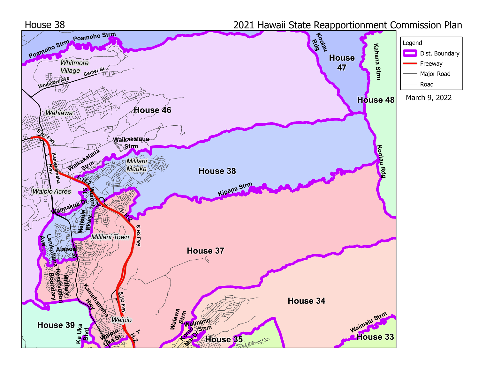